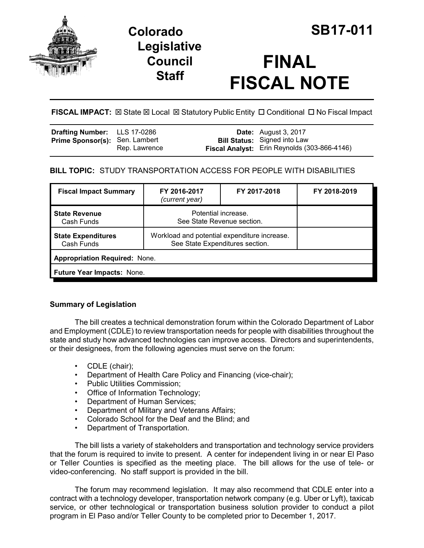

## **Colorado SB17-011 Legislative Council Staff**

# **FINAL FISCAL NOTE**

FISCAL IMPACT:  $\boxtimes$  State  $\boxtimes$  Local  $\boxtimes$  Statutory Public Entity  $\Box$  Conditional  $\Box$  No Fiscal Impact

| <b>Drafting Number:</b> LLS 17-0286   |               | <b>Date:</b> August 3, 2017                                                         |
|---------------------------------------|---------------|-------------------------------------------------------------------------------------|
| <b>Prime Sponsor(s): Sen. Lambert</b> | Rep. Lawrence | <b>Bill Status:</b> Signed into Law<br>Fiscal Analyst: Erin Reynolds (303-866-4146) |

## **BILL TOPIC:** STUDY TRANSPORTATION ACCESS FOR PEOPLE WITH DISABILITIES

| <b>Fiscal Impact Summary</b>            | FY 2016-2017<br>(current year)                                                  | FY 2017-2018 | FY 2018-2019 |  |  |  |
|-----------------------------------------|---------------------------------------------------------------------------------|--------------|--------------|--|--|--|
| <b>State Revenue</b><br>Cash Funds      | Potential increase.<br>See State Revenue section.                               |              |              |  |  |  |
| <b>State Expenditures</b><br>Cash Funds | Workload and potential expenditure increase.<br>See State Expenditures section. |              |              |  |  |  |
| <b>Appropriation Required: None.</b>    |                                                                                 |              |              |  |  |  |
| Future Year Impacts: None.              |                                                                                 |              |              |  |  |  |

### **Summary of Legislation**

The bill creates a technical demonstration forum within the Colorado Department of Labor and Employment (CDLE) to review transportation needs for people with disabilities throughout the state and study how advanced technologies can improve access. Directors and superintendents, or their designees, from the following agencies must serve on the forum:

- CDLE (chair);
- Department of Health Care Policy and Financing (vice-chair);
- Public Utilities Commission;
- Office of Information Technology;
- Department of Human Services;
- Department of Military and Veterans Affairs;
- Colorado School for the Deaf and the Blind; and
- Department of Transportation.

The bill lists a variety of stakeholders and transportation and technology service providers that the forum is required to invite to present. A center for independent living in or near El Paso or Teller Counties is specified as the meeting place. The bill allows for the use of tele- or video-conferencing. No staff support is provided in the bill.

The forum may recommend legislation. It may also recommend that CDLE enter into a contract with a technology developer, transportation network company (e.g. Uber or Lyft), taxicab service, or other technological or transportation business solution provider to conduct a pilot program in El Paso and/or Teller County to be completed prior to December 1, 2017.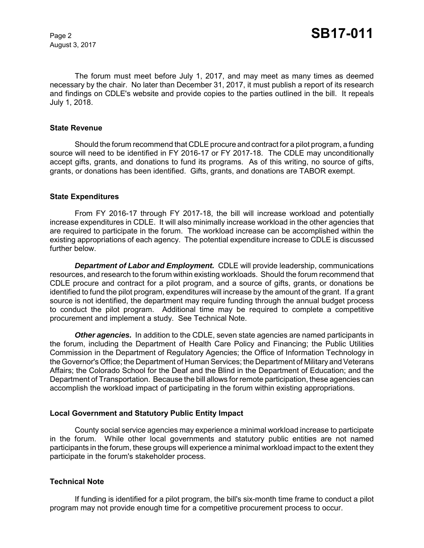August 3, 2017

The forum must meet before July 1, 2017, and may meet as many times as deemed necessary by the chair. No later than December 31, 2017, it must publish a report of its research and findings on CDLE's website and provide copies to the parties outlined in the bill. It repeals July 1, 2018.

#### **State Revenue**

Should the forum recommend that CDLE procure and contract for a pilot program, a funding source will need to be identified in FY 2016-17 or FY 2017-18. The CDLE may unconditionally accept gifts, grants, and donations to fund its programs. As of this writing, no source of gifts, grants, or donations has been identified. Gifts, grants, and donations are TABOR exempt.

#### **State Expenditures**

From FY 2016-17 through FY 2017-18, the bill will increase workload and potentially increase expenditures in CDLE. It will also minimally increase workload in the other agencies that are required to participate in the forum. The workload increase can be accomplished within the existing appropriations of each agency. The potential expenditure increase to CDLE is discussed further below.

*Department of Labor and Employment.* CDLE will provide leadership, communications resources, and research to the forum within existing workloads. Should the forum recommend that CDLE procure and contract for a pilot program, and a source of gifts, grants, or donations be identified to fund the pilot program, expenditures will increase by the amount of the grant. If a grant source is not identified, the department may require funding through the annual budget process to conduct the pilot program. Additional time may be required to complete a competitive procurement and implement a study. See Technical Note.

**Other agencies.** In addition to the CDLE, seven state agencies are named participants in the forum, including the Department of Health Care Policy and Financing; the Public Utilities Commission in the Department of Regulatory Agencies; the Office of Information Technology in the Governor's Office; the Department of Human Services; the Department of Military and Veterans Affairs; the Colorado School for the Deaf and the Blind in the Department of Education; and the Department of Transportation. Because the bill allows for remote participation, these agencies can accomplish the workload impact of participating in the forum within existing appropriations.

#### **Local Government and Statutory Public Entity Impact**

County social service agencies may experience a minimal workload increase to participate in the forum. While other local governments and statutory public entities are not named participants in the forum, these groups will experience a minimal workload impact to the extent they participate in the forum's stakeholder process.

#### **Technical Note**

If funding is identified for a pilot program, the bill's six-month time frame to conduct a pilot program may not provide enough time for a competitive procurement process to occur.